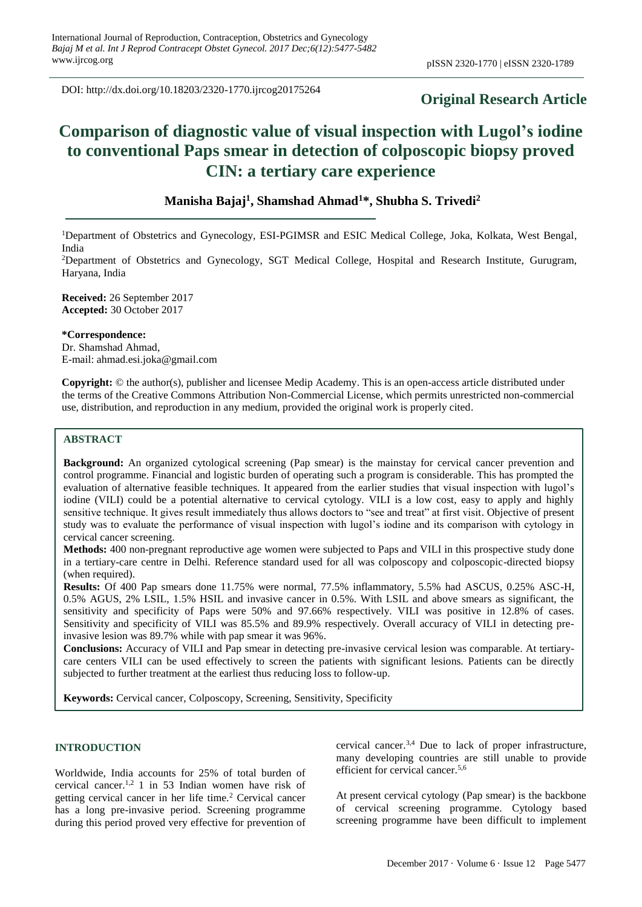DOI: http://dx.doi.org/10.18203/2320-1770.ijrcog20175264

# **Original Research Article**

# **Comparison of diagnostic value of visual inspection with Lugol's iodine to conventional Paps smear in detection of colposcopic biopsy proved CIN: a tertiary care experience**

# **Manisha Bajaj<sup>1</sup> , Shamshad Ahmad<sup>1</sup>\*, Shubha S. Trivedi<sup>2</sup>**

<sup>1</sup>Department of Obstetrics and Gynecology, ESI-PGIMSR and ESIC Medical College, Joka, Kolkata, West Bengal, India

<sup>2</sup>Department of Obstetrics and Gynecology, SGT Medical College, Hospital and Research Institute, Gurugram, Haryana, India

**Received:** 26 September 2017 **Accepted:** 30 October 2017

**\*Correspondence:** Dr. Shamshad Ahmad, E-mail: ahmad.esi.joka@gmail.com

**Copyright:** © the author(s), publisher and licensee Medip Academy. This is an open-access article distributed under the terms of the Creative Commons Attribution Non-Commercial License, which permits unrestricted non-commercial use, distribution, and reproduction in any medium, provided the original work is properly cited.

# **ABSTRACT**

**Background:** An organized cytological screening (Pap smear) is the mainstay for cervical cancer prevention and control programme. Financial and logistic burden of operating such a program is considerable. This has prompted the evaluation of alternative feasible techniques. It appeared from the earlier studies that visual inspection with lugol's iodine (VILI) could be a potential alternative to cervical cytology. VILI is a low cost, easy to apply and highly sensitive technique. It gives result immediately thus allows doctors to "see and treat" at first visit. Objective of present study was to evaluate the performance of visual inspection with lugol's iodine and its comparison with cytology in cervical cancer screening.

**Methods:** 400 non-pregnant reproductive age women were subjected to Paps and VILI in this prospective study done in a tertiary-care centre in Delhi. Reference standard used for all was colposcopy and colposcopic-directed biopsy (when required).

**Results:** Of 400 Pap smears done 11.75% were normal, 77.5% inflammatory, 5.5% had ASCUS, 0.25% ASC-H, 0.5% AGUS, 2% LSIL, 1.5% HSIL and invasive cancer in 0.5%. With LSIL and above smears as significant, the sensitivity and specificity of Paps were 50% and 97.66% respectively. VILI was positive in 12.8% of cases. Sensitivity and specificity of VILI was 85.5% and 89.9% respectively. Overall accuracy of VILI in detecting preinvasive lesion was 89.7% while with pap smear it was 96%.

**Conclusions:** Accuracy of VILI and Pap smear in detecting pre-invasive cervical lesion was comparable. At tertiarycare centers VILI can be used effectively to screen the patients with significant lesions. Patients can be directly subjected to further treatment at the earliest thus reducing loss to follow-up.

**Keywords:** Cervical cancer, Colposcopy, Screening, Sensitivity, Specificity

# **INTRODUCTION**

Worldwide, India accounts for 25% of total burden of cervical cancer.<sup>1,2</sup> 1 in 53 Indian women have risk of getting cervical cancer in her life time.<sup>2</sup> Cervical cancer has a long pre-invasive period. Screening programme during this period proved very effective for prevention of cervical cancer.3,4 Due to lack of proper infrastructure, many developing countries are still unable to provide efficient for cervical cancer.5,6

At present cervical cytology (Pap smear) is the backbone of cervical screening programme. Cytology based screening programme have been difficult to implement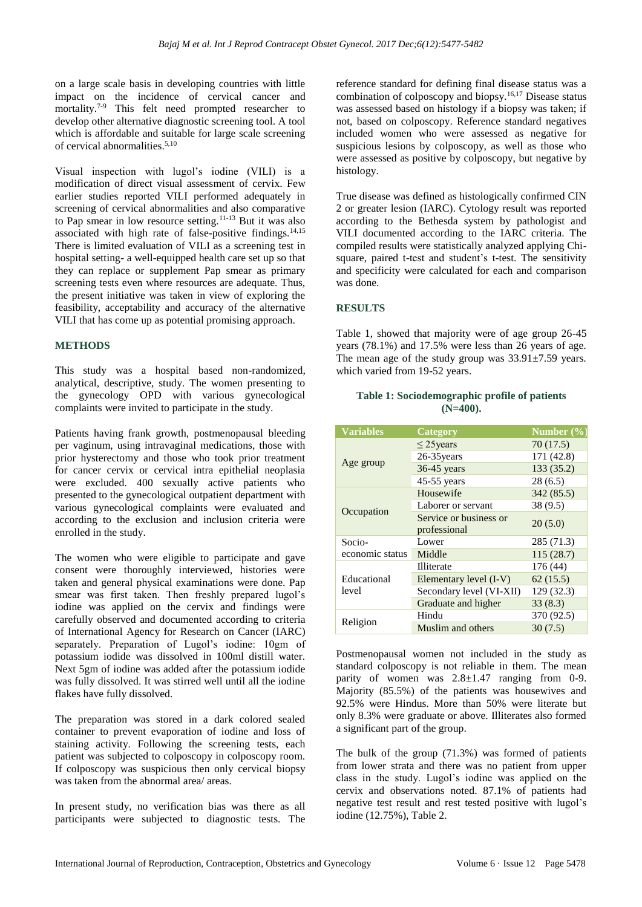on a large scale basis in developing countries with little impact on the incidence of cervical cancer and mortality.<sup>7-9</sup> This felt need prompted researcher to develop other alternative diagnostic screening tool. A tool which is affordable and suitable for large scale screening of cervical abnormalities.5,10

Visual inspection with lugol's iodine (VILI) is a modification of direct visual assessment of cervix. Few earlier studies reported VILI performed adequately in screening of cervical abnormalities and also comparative to Pap smear in low resource setting.11-13 But it was also associated with high rate of false-positive findings.<sup>14,15</sup> There is limited evaluation of VILI as a screening test in hospital setting- a well-equipped health care set up so that they can replace or supplement Pap smear as primary screening tests even where resources are adequate. Thus, the present initiative was taken in view of exploring the feasibility, acceptability and accuracy of the alternative VILI that has come up as potential promising approach.

## **METHODS**

This study was a hospital based non-randomized, analytical, descriptive, study. The women presenting to the gynecology OPD with various gynecological complaints were invited to participate in the study.

Patients having frank growth, postmenopausal bleeding per vaginum, using intravaginal medications, those with prior hysterectomy and those who took prior treatment for cancer cervix or cervical intra epithelial neoplasia were excluded. 400 sexually active patients who presented to the gynecological outpatient department with various gynecological complaints were evaluated and according to the exclusion and inclusion criteria were enrolled in the study.

The women who were eligible to participate and gave consent were thoroughly interviewed, histories were taken and general physical examinations were done. Pap smear was first taken. Then freshly prepared lugol's iodine was applied on the cervix and findings were carefully observed and documented according to criteria of International Agency for Research on Cancer (IARC) separately. Preparation of Lugol's iodine: 10gm of potassium iodide was dissolved in 100ml distill water. Next 5gm of iodine was added after the potassium iodide was fully dissolved. It was stirred well until all the iodine flakes have fully dissolved.

The preparation was stored in a dark colored sealed container to prevent evaporation of iodine and loss of staining activity. Following the screening tests, each patient was subjected to colposcopy in colposcopy room. If colposcopy was suspicious then only cervical biopsy was taken from the abnormal area/ areas.

In present study, no verification bias was there as all participants were subjected to diagnostic tests. The reference standard for defining final disease status was a combination of colposcopy and biopsy.16,17 Disease status was assessed based on histology if a biopsy was taken; if not, based on colposcopy. Reference standard negatives included women who were assessed as negative for suspicious lesions by colposcopy, as well as those who were assessed as positive by colposcopy, but negative by histology.

True disease was defined as histologically confirmed CIN 2 or greater lesion (IARC). Cytology result was reported according to the Bethesda system by pathologist and VILI documented according to the IARC criteria. The compiled results were statistically analyzed applying Chisquare, paired t-test and student's t-test. The sensitivity and specificity were calculated for each and comparison was done.

#### **RESULTS**

Table 1, showed that majority were of age group 26-45 years (78.1%) and 17.5% were less than 26 years of age. The mean age of the study group was  $33.91 \pm 7.59$  years. which varied from 19-52 years.

#### **Table 1: Sociodemographic profile of patients (N=400).**

| <b>Variables</b>     | <b>Category</b>                        | Number $\sqrt{0}$ |
|----------------------|----------------------------------------|-------------------|
| Age group            | $\leq$ 25 years                        | 70(17.5)          |
|                      | $26-35$ years                          | 171 (42.8)        |
|                      | $36-45$ years                          | 133 (35.2)        |
|                      | $45-55$ years                          | 28(6.5)           |
| Occupation           | Housewife                              | 342 (85.5)        |
|                      | Laborer or servant                     | 38 (9.5)          |
|                      | Service or business or<br>professional | 20(5.0)           |
| Socio-               | Lower                                  | 285 (71.3)        |
| economic status      | Middle                                 | 115(28.7)         |
|                      | Illiterate                             | 176 (44)          |
| Educational<br>level | Elementary level (I-V)                 | 62(15.5)          |
|                      | Secondary level (VI-XII)               | 129(32.3)         |
|                      | Graduate and higher                    | 33(8.3)           |
| Religion             | Hindu                                  | 370 (92.5)        |
|                      | Muslim and others                      | 30(7.5)           |

Postmenopausal women not included in the study as standard colposcopy is not reliable in them. The mean parity of women was  $2.8 \pm 1.47$  ranging from 0-9. Majority (85.5%) of the patients was housewives and 92.5% were Hindus. More than 50% were literate but only 8.3% were graduate or above. Illiterates also formed a significant part of the group.

The bulk of the group (71.3%) was formed of patients from lower strata and there was no patient from upper class in the study. Lugol's iodine was applied on the cervix and observations noted. 87.1% of patients had negative test result and rest tested positive with lugol's iodine (12.75%), Table 2.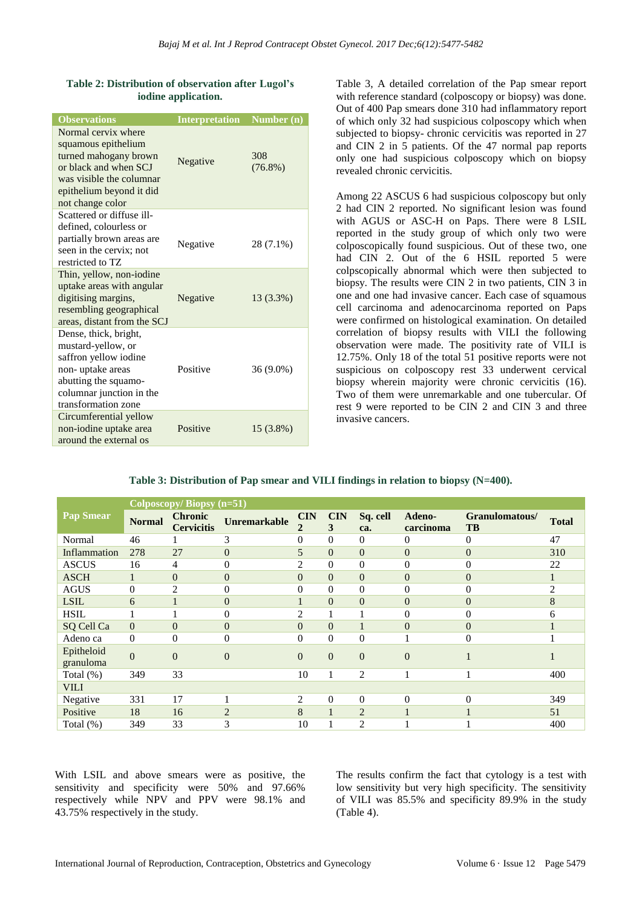## **Table 2: Distribution of observation after Lugol's iodine application.**

| <b>Observations</b>                                                                                                                                                      | <b>Interpretation</b> | Number (n)        |
|--------------------------------------------------------------------------------------------------------------------------------------------------------------------------|-----------------------|-------------------|
| Normal cervix where<br>squamous epithelium<br>turned mahogany brown<br>or black and when SCJ<br>was visible the columnar<br>epithelium beyond it did<br>not change color | Negative              | 308<br>$(76.8\%)$ |
| Scattered or diffuse ill-<br>defined, colourless or<br>partially brown areas are<br>seen in the cervix; not<br>restricted to TZ                                          | Negative              | 28 (7.1%)         |
| Thin, yellow, non-iodine<br>uptake areas with angular<br>digitising margins,<br>resembling geographical<br>areas, distant from the SCJ                                   | Negative              | 13 (3.3%)         |
| Dense, thick, bright,<br>mustard-yellow, or<br>saffron yellow iodine<br>non-uptake areas<br>abutting the squamo-<br>columnar junction in the<br>transformation zone      | Positive              | 36 (9.0%)         |
| Circumferential yellow<br>non-iodine uptake area<br>around the external os                                                                                               | Positive              | $15(3.8\%)$       |

Table 3, A detailed correlation of the Pap smear report with reference standard (colposcopy or biopsy) was done. Out of 400 Pap smears done 310 had inflammatory report of which only 32 had suspicious colposcopy which when subjected to biopsy- chronic cervicitis was reported in 27 and CIN 2 in 5 patients. Of the 47 normal pap reports only one had suspicious colposcopy which on biopsy revealed chronic cervicitis.

Among 22 ASCUS 6 had suspicious colposcopy but only 2 had CIN 2 reported. No significant lesion was found with AGUS or ASC-H on Paps. There were 8 LSIL reported in the study group of which only two were colposcopically found suspicious. Out of these two, one had CIN 2. Out of the 6 HSIL reported 5 were colpscopically abnormal which were then subjected to biopsy. The results were CIN 2 in two patients, CIN 3 in one and one had invasive cancer. Each case of squamous cell carcinoma and adenocarcinoma reported on Paps were confirmed on histological examination. On detailed correlation of biopsy results with VILI the following observation were made. The positivity rate of VILI is 12.75%. Only 18 of the total 51 positive reports were not suspicious on colposcopy rest 33 underwent cervical biopsy wherein majority were chronic cervicitis (16). Two of them were unremarkable and one tubercular. Of rest 9 were reported to be CIN 2 and CIN 3 and three invasive cancers.

| Table 3: Distribution of Pap smear and VILI findings in relation to biopsy (N=400). |  |  |
|-------------------------------------------------------------------------------------|--|--|
|-------------------------------------------------------------------------------------|--|--|

| Colposcopy/Biopsy (n=51) |                |                                     |                     |                           |                 |                 |                     |                             |                |
|--------------------------|----------------|-------------------------------------|---------------------|---------------------------|-----------------|-----------------|---------------------|-----------------------------|----------------|
| <b>Pap Smear</b>         | <b>Normal</b>  | <b>Chronic</b><br><b>Cervicitis</b> | <b>Unremarkable</b> | <b>CIN</b><br>$\mathbf 2$ | <b>CIN</b><br>3 | Sq. cell<br>ca. | Adeno-<br>carcinoma | Granulomatous/<br><b>TB</b> | <b>Total</b>   |
| Normal                   | 46             |                                     | 3                   | $\overline{0}$            | $\Omega$        | $\Omega$        | $\Omega$            | $\mathbf{0}$                | 47             |
| Inflammation             | 278            | 27                                  | $\overline{0}$      | 5                         | $\Omega$        | $\Omega$        | $\Omega$            | $\overline{0}$              | 310            |
| <b>ASCUS</b>             | 16             | 4                                   | 0                   | 2                         | $\Omega$        | $\theta$        | $\Omega$            | $\overline{0}$              | 22             |
| <b>ASCH</b>              | 1              | $\overline{0}$                      | $\overline{0}$      | $\overline{0}$            | $\Omega$        | $\theta$        | $\Omega$            | $\overline{0}$              | 1              |
| <b>AGUS</b>              | $\overline{0}$ | 2                                   | 0                   | $\overline{0}$            | $\theta$        | 0               | $\theta$            | $\overline{0}$              | $\overline{c}$ |
| <b>LSIL</b>              | 6              |                                     | $\boldsymbol{0}$    |                           | $\Omega$        | $\theta$        | $\overline{0}$      | $\overline{0}$              | 8              |
| <b>HSIL</b>              |                |                                     | 0                   | $\overline{c}$            |                 |                 | $\theta$            | $\overline{0}$              | 6              |
| SQ Cell Ca               | $\overline{0}$ | $\overline{0}$                      | $\overline{0}$      | $\theta$                  | $\Omega$        |                 | $\overline{0}$      | $\overline{0}$              |                |
| Adeno ca                 | $\mathbf{0}$   | $\overline{0}$                      | 0                   | $\theta$                  | $\theta$        | $\theta$        |                     | $\overline{0}$              |                |
| Epitheloid<br>granuloma  | $\overline{0}$ | $\overline{0}$                      | $\Omega$            | $\overline{0}$            | $\mathbf{0}$    | $\overline{0}$  | $\Omega$            |                             |                |
| Total $(\%)$             | 349            | 33                                  |                     | 10                        |                 | 2               |                     |                             | 400            |
| <b>VILI</b>              |                |                                     |                     |                           |                 |                 |                     |                             |                |
| Negative                 | 331            | 17                                  |                     | $\overline{2}$            | $\Omega$        | $\theta$        | $\theta$            | $\theta$                    | 349            |
| Positive                 | 18             | 16                                  | $\overline{2}$      | 8                         | 1               | $\overline{2}$  | 1                   |                             | 51             |
| Total $(\%)$             | 349            | 33                                  | 3                   | 10                        |                 | $\overline{c}$  |                     |                             | 400            |

With LSIL and above smears were as positive, the sensitivity and specificity were 50% and 97.66% respectively while NPV and PPV were 98.1% and 43.75% respectively in the study.

The results confirm the fact that cytology is a test with low sensitivity but very high specificity. The sensitivity of VILI was 85.5% and specificity 89.9% in the study (Table 4).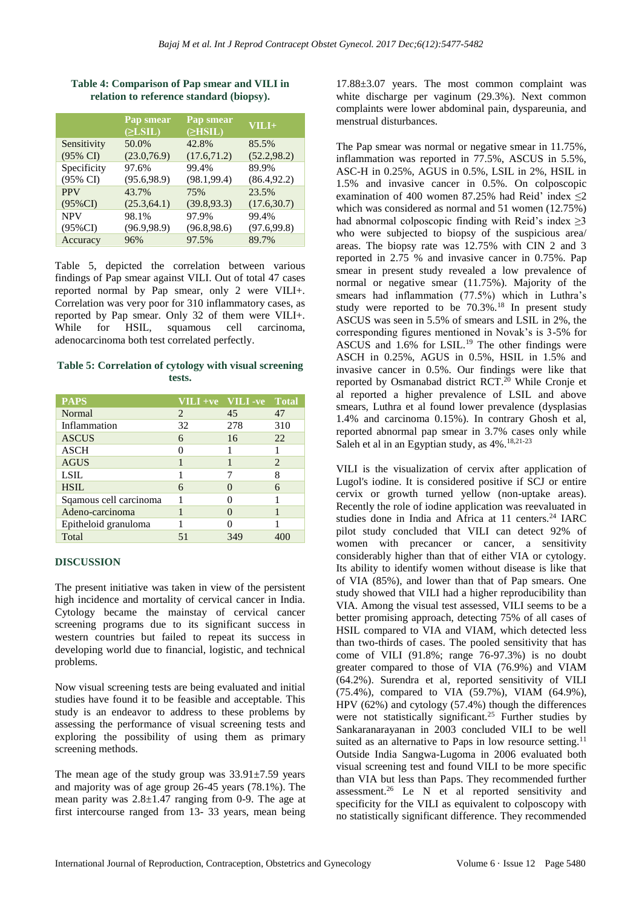|                     | Pap smear<br>$(\geq$ LSIL) | Pap smear<br>$\triangle$ HSIL) | $VILI+$      |
|---------------------|----------------------------|--------------------------------|--------------|
| Sensitivity         | 50.0%                      | 42.8%                          | 85.5%        |
| $(95\% \text{ CI})$ | (23.0, 76.9)               | (17.6, 71.2)                   | (52.2, 98.2) |
| Specificity         | 97.6%                      | 99.4%                          | 89.9%        |
| (95% CI)            | (95.6, 98.9)               | (98.1, 99.4)                   | (86.4, 92.2) |
| <b>PPV</b>          | 43.7%                      | 75%                            | 23.5%        |
| $(95\%CI)$          | (25.3, 64.1)               | (39.8, 93.3)                   | (17.6, 30.7) |
| <b>NPV</b>          | 98.1%                      | 97.9%                          | 99.4%        |
| $(95\%CI)$          | (96.9, 98.9)               | (96.8, 98.6)                   | (97.6, 99.8) |
| Accuracy            | 96%                        | 97.5%                          | 89.7%        |

**Table 4: Comparison of Pap smear and VILI in relation to reference standard (biopsy).**

Table 5, depicted the correlation between various findings of Pap smear against VILI. Out of total 47 cases reported normal by Pap smear, only 2 were VILI+. Correlation was very poor for 310 inflammatory cases, as reported by Pap smear. Only 32 of them were VILI+. While for HSIL, squamous cell carcinoma, adenocarcinoma both test correlated perfectly.

**Table 5: Correlation of cytology with visual screening tests.**

| <b>PAPS</b>            |                             | VILI +ve VILI -ve Total |     |
|------------------------|-----------------------------|-------------------------|-----|
| Normal                 | $\mathcal{D}_{\mathcal{L}}$ | 45                      | 47  |
| Inflammation           | 32                          | 278                     | 310 |
| <b>ASCUS</b>           | 6                           | 16                      | 22  |
| <b>ASCH</b>            |                             |                         |     |
| <b>AGUS</b>            |                             |                         | 2   |
| <b>LSIL</b>            |                             |                         | 8   |
| <b>HSIL</b>            | 6                           |                         | 6   |
| Sqamous cell carcinoma |                             |                         |     |
| Adeno-carcinoma        |                             |                         |     |
| Epitheloid granuloma   |                             |                         |     |
| Total                  | 51                          | 349                     |     |

# **DISCUSSION**

The present initiative was taken in view of the persistent high incidence and mortality of cervical cancer in India. Cytology became the mainstay of cervical cancer screening programs due to its significant success in western countries but failed to repeat its success in developing world due to financial, logistic, and technical problems.

Now visual screening tests are being evaluated and initial studies have found it to be feasible and acceptable. This study is an endeavor to address to these problems by assessing the performance of visual screening tests and exploring the possibility of using them as primary screening methods.

The mean age of the study group was  $33.91\pm7.59$  years and majority was of age group 26-45 years (78.1%). The mean parity was  $2.8 \pm 1.47$  ranging from 0-9. The age at first intercourse ranged from 13- 33 years, mean being

17.88±3.07 years. The most common complaint was white discharge per vaginum (29.3%). Next common complaints were lower abdominal pain, dyspareunia, and menstrual disturbances.

The Pap smear was normal or negative smear in 11.75%, inflammation was reported in 77.5%, ASCUS in 5.5%, ASC-H in 0.25%, AGUS in 0.5%, LSIL in 2%, HSIL in 1.5% and invasive cancer in 0.5%. On colposcopic examination of 400 women 87.25% had Reid' index ≤2 which was considered as normal and 51 women (12.75%) had abnormal colposcopic finding with Reid's index  $\geq$ 3 who were subjected to biopsy of the suspicious area/ areas. The biopsy rate was 12.75% with CIN 2 and 3 reported in 2.75 % and invasive cancer in 0.75%. Pap smear in present study revealed a low prevalence of normal or negative smear (11.75%). Majority of the smears had inflammation (77.5%) which in Luthra's study were reported to be  $70.3\%$ .<sup>18</sup> In present study ASCUS was seen in 5.5% of smears and LSIL in 2%, the corresponding figures mentioned in Novak's is 3-5% for ASCUS and  $1.6\%$  for LSIL.<sup>19</sup> The other findings were ASCH in 0.25%, AGUS in 0.5%, HSIL in 1.5% and invasive cancer in 0.5%. Our findings were like that reported by Osmanabad district RCT.<sup>20</sup> While Cronje et al reported a higher prevalence of LSIL and above smears, Luthra et al found lower prevalence (dysplasias 1.4% and carcinoma 0.15%). In contrary Ghosh et al, reported abnormal pap smear in 3.7% cases only while Saleh et al in an Egyptian study, as 4%.18,21-23

VILI is the visualization of cervix after application of Lugol's iodine. It is considered positive if SCJ or entire cervix or growth turned yellow (non-uptake areas). Recently the role of iodine application was reevaluated in studies done in India and Africa at 11 centers.<sup>24</sup> IARC pilot study concluded that VILI can detect 92% of women with precancer or cancer, a sensitivity considerably higher than that of either VIA or cytology. Its ability to identify women without disease is like that of VIA (85%), and lower than that of Pap smears. One study showed that VILI had a higher reproducibility than VIA. Among the visual test assessed, VILI seems to be a better promising approach, detecting 75% of all cases of HSIL compared to VIA and VIAM, which detected less than two-thirds of cases. The pooled sensitivity that has come of VILI (91.8%; range 76-97.3%) is no doubt greater compared to those of VIA (76.9%) and VIAM (64.2%). Surendra et al, reported sensitivity of VILI (75.4%), compared to VIA (59.7%), VIAM (64.9%), HPV (62%) and cytology (57.4%) though the differences were not statistically significant.<sup>25</sup> Further studies by Sankaranarayanan in 2003 concluded VILI to be well suited as an alternative to Paps in low resource setting.<sup>11</sup> Outside India Sangwa-Lugoma in 2006 evaluated both visual screening test and found VILI to be more specific than VIA but less than Paps. They recommended further assessment.<sup>26</sup> Le N et al reported sensitivity and specificity for the VILI as equivalent to colposcopy with no statistically significant difference. They recommended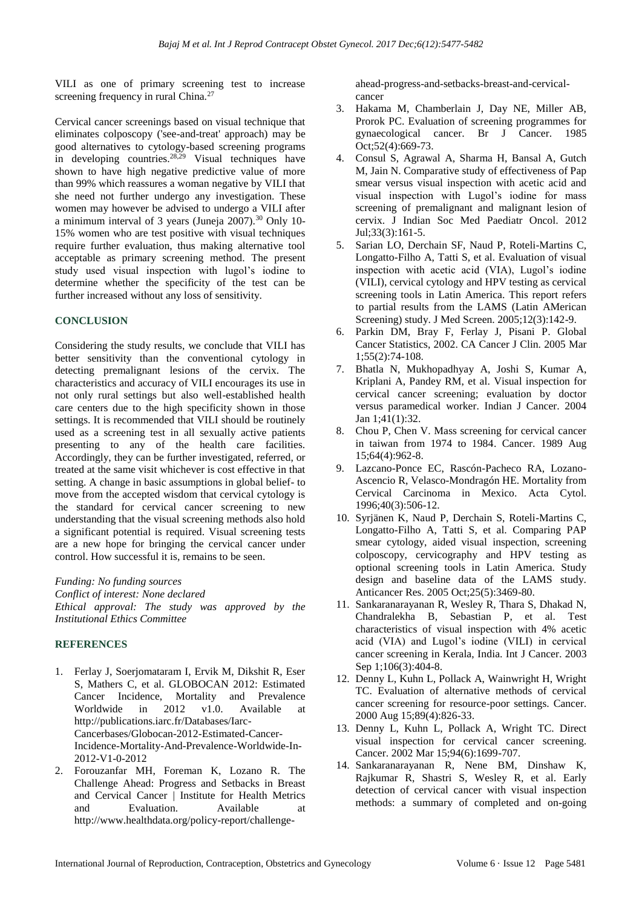VILI as one of primary screening test to increase screening frequency in rural China.<sup>27</sup>

Cervical cancer screenings based on visual technique that eliminates colposcopy ('see-and-treat' approach) may be good alternatives to cytology-based screening programs in developing countries.28,29 Visual techniques have shown to have high negative predictive value of more than 99% which reassures a woman negative by VILI that she need not further undergo any investigation. These women may however be advised to undergo a VILI after a minimum interval of 3 years (Juneja 2007).<sup>30</sup> Only 10- 15% women who are test positive with visual techniques require further evaluation, thus making alternative tool acceptable as primary screening method. The present study used visual inspection with lugol's iodine to determine whether the specificity of the test can be further increased without any loss of sensitivity.

#### **CONCLUSION**

Considering the study results, we conclude that VILI has better sensitivity than the conventional cytology in detecting premalignant lesions of the cervix. The characteristics and accuracy of VILI encourages its use in not only rural settings but also well-established health care centers due to the high specificity shown in those settings. It is recommended that VILI should be routinely used as a screening test in all sexually active patients presenting to any of the health care facilities. Accordingly, they can be further investigated, referred, or treated at the same visit whichever is cost effective in that setting. A change in basic assumptions in global belief- to move from the accepted wisdom that cervical cytology is the standard for cervical cancer screening to new understanding that the visual screening methods also hold a significant potential is required. Visual screening tests are a new hope for bringing the cervical cancer under control. How successful it is, remains to be seen.

*Funding: No funding sources*

*Conflict of interest: None declared Ethical approval: The study was approved by the* 

*Institutional Ethics Committee*

# **REFERENCES**

- 1. Ferlay J, Soerjomataram I, Ervik M, Dikshit R, Eser S, Mathers C, et al. GLOBOCAN 2012: Estimated Cancer Incidence, Mortality and Prevalence Worldwide in 2012 v1.0. Available at http://publications.iarc.fr/Databases/Iarc-Cancerbases/Globocan-2012-Estimated-Cancer-Incidence-Mortality-And-Prevalence-Worldwide-In-2012-V1-0-2012
- 2. Forouzanfar MH, Foreman K, Lozano R. The Challenge Ahead: Progress and Setbacks in Breast and Cervical Cancer | Institute for Health Metrics and Evaluation. Available at http://www.healthdata.org/policy-report/challenge-

ahead-progress-and-setbacks-breast-and-cervicalcancer

- 3. Hakama M, Chamberlain J, Day NE, Miller AB, Prorok PC. Evaluation of screening programmes for gynaecological cancer. Br J Cancer. 1985 Oct;52(4):669-73.
- 4. Consul S, Agrawal A, Sharma H, Bansal A, Gutch M, Jain N. Comparative study of effectiveness of Pap smear versus visual inspection with acetic acid and visual inspection with Lugol's iodine for mass screening of premalignant and malignant lesion of cervix. J Indian Soc Med Paediatr Oncol. 2012 Jul;33(3):161-5.
- 5. Sarian LO, Derchain SF, Naud P, Roteli-Martins C, Longatto-Filho A, Tatti S, et al. Evaluation of visual inspection with acetic acid (VIA), Lugol's iodine (VILI), cervical cytology and HPV testing as cervical screening tools in Latin America. This report refers to partial results from the LAMS (Latin AMerican Screening) study. J Med Screen. 2005;12(3):142-9.
- 6. Parkin DM, Bray F, Ferlay J, Pisani P. Global Cancer Statistics, 2002. CA Cancer J Clin. 2005 Mar 1;55(2):74-108.
- 7. Bhatla N, Mukhopadhyay A, Joshi S, Kumar A, Kriplani A, Pandey RM, et al. Visual inspection for cervical cancer screening; evaluation by doctor versus paramedical worker. Indian J Cancer. 2004 Jan 1;41(1):32.
- 8. Chou P, Chen V. Mass screening for cervical cancer in taiwan from 1974 to 1984. Cancer. 1989 Aug 15;64(4):962-8.
- 9. Lazcano-Ponce EC, Rascón-Pacheco RA, Lozano-Ascencio R, Velasco-Mondragón HE. Mortality from Cervical Carcinoma in Mexico. Acta Cytol. 1996;40(3):506-12.
- 10. Syrjänen K, Naud P, Derchain S, Roteli-Martins C, Longatto-Filho A, Tatti S, et al. Comparing PAP smear cytology, aided visual inspection, screening colposcopy, cervicography and HPV testing as optional screening tools in Latin America. Study design and baseline data of the LAMS study. Anticancer Res. 2005 Oct;25(5):3469-80.
- 11. Sankaranarayanan R, Wesley R, Thara S, Dhakad N, Chandralekha B, Sebastian P, et al. Test characteristics of visual inspection with 4% acetic acid (VIA) and Lugol's iodine (VILI) in cervical cancer screening in Kerala, India. Int J Cancer. 2003 Sep 1;106(3):404-8.
- 12. Denny L, Kuhn L, Pollack A, Wainwright H, Wright TC. Evaluation of alternative methods of cervical cancer screening for resource-poor settings. Cancer. 2000 Aug 15;89(4):826-33.
- 13. Denny L, Kuhn L, Pollack A, Wright TC. Direct visual inspection for cervical cancer screening. Cancer. 2002 Mar 15;94(6):1699-707.
- 14. Sankaranarayanan R, Nene BM, Dinshaw K, Rajkumar R, Shastri S, Wesley R, et al. Early detection of cervical cancer with visual inspection methods: a summary of completed and on-going